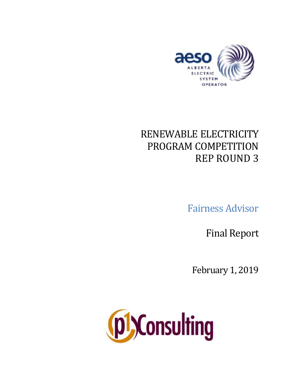

# RENEWABLE ELECTRICITY PROGRAM COMPETITION REP ROUND 3

Fairness Advisor

Final Report

February 1, 2019

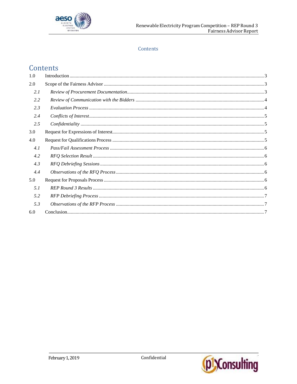

# Contents

# Contents

| 1.0 |                                                                                                                                                                                                                                                                                                                                                                                                 |
|-----|-------------------------------------------------------------------------------------------------------------------------------------------------------------------------------------------------------------------------------------------------------------------------------------------------------------------------------------------------------------------------------------------------|
| 2.0 |                                                                                                                                                                                                                                                                                                                                                                                                 |
| 2.1 |                                                                                                                                                                                                                                                                                                                                                                                                 |
| 2.2 |                                                                                                                                                                                                                                                                                                                                                                                                 |
| 2.3 |                                                                                                                                                                                                                                                                                                                                                                                                 |
| 2.4 |                                                                                                                                                                                                                                                                                                                                                                                                 |
| 2.5 | $\label{thm:confl} \textit{Confidentiality} \textit{} \textit{} \textit{} \textit{} \textit{} \textit{} \textit{} \textit{} \textit{} \textit{} \textit{} \textit{} \textit{} \textit{} \textit{} \textit{} \textit{} \textit{} \textit{} \textit{} \textit{} \textit{} \textit{} \textit{} \textit{} \textit{} \textit{} \textit{} \textit{} \textit{} \textit{} \textit{} \textit{} \textit{$ |
| 3.0 |                                                                                                                                                                                                                                                                                                                                                                                                 |
| 4.0 |                                                                                                                                                                                                                                                                                                                                                                                                 |
| 4.1 |                                                                                                                                                                                                                                                                                                                                                                                                 |
| 4.2 |                                                                                                                                                                                                                                                                                                                                                                                                 |
| 4.3 |                                                                                                                                                                                                                                                                                                                                                                                                 |
| 4.4 |                                                                                                                                                                                                                                                                                                                                                                                                 |
| 5.0 |                                                                                                                                                                                                                                                                                                                                                                                                 |
| 5.1 |                                                                                                                                                                                                                                                                                                                                                                                                 |
| 5.2 |                                                                                                                                                                                                                                                                                                                                                                                                 |
| 5.3 |                                                                                                                                                                                                                                                                                                                                                                                                 |
| 6.0 |                                                                                                                                                                                                                                                                                                                                                                                                 |

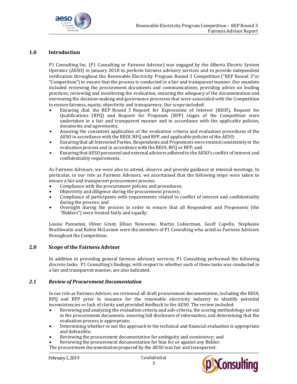

# <span id="page-2-0"></span>**1.0 Introduction**

P1 Consulting Inc. (P1 Consulting or Fairness Advisor) was engaged by the Alberta Electric System Operator (AESO) in January 2018 to perform fairness advisory services and to provide independent verification throughout the Renewable Electricity Program Round 3 Competition ("REP Round 3"or "Competition")to ensure that the process is conducted in a fair and transparent manner. Our mandate included reviewing the procurement documents and communications; providing advice on leading practices; reviewing and monitoring the evaluation; ensuring the adequacy of the documentation and overseeing the decision-making and governance processes that were associated with the Competition to ensure fairness, equity, objectivity and transparency. Our scope included:

- Ensuring that the REP Round 3 Request for Expressions of Interest (REOI), Request for Qualifications (RFQ) and Request for Proposals (RFP) stages of the Competition were undertaken in a fair and transparent manner and in accordance with the applicable policies, documents and agreements;
- Assuring the consistent application of the evaluation criteria and evaluation procedures of the AESO in accordance with the REOI, RFQ and RFP, and applicable policies of the AESO;
- Ensuring that all Interested Parties, Respondents and Proponentswere treated consistently in the evaluation process and in accordancewith the REOI, RFQ or RFP; and
- Ensuring that AESO personnel and external advisors adhered to the AESO's conflict of interest and confidentiality requirements.

As Fairness Advisors, we were also to attend, observe and provide guidance at internal meetings. In particular, in our role as Fairness Advisors, we ascertained that the following steps were taken to ensure a fair and transparent procurement process:

- Compliance with the procurement policies and procedures;
- Objectivity and diligence during the procurement process;
- Compliance of participants with requirements related to conflict of interest and confidentiality during the process; and
- Oversight during the process in order to ensure that all Respondent and Proponents (the "Bidders") were treated fairly and equally.

Louise Panneton, Oliver Grant, Jillian Newsome, Martin Cukierman, Geoff Capelle, Stephanie Braithwaite and Robin McLernon were the members of P1 Consulting who acted as Fairness Advisors throughout the Competition.

# <span id="page-2-1"></span>**2.0 Scope of the Fairness Advisor**

In addition to providing general fairness advisory services, P1 Consulting performed the following discrete tasks. P1 Consulting's findings, with respect to whether each of these tasks was conducted in a fair and transparent manner, are also indicated.

# <span id="page-2-2"></span>*2.1 Review of Procurement Documentation*

In our role as Fairness Advisor, we reviewed all draft procurement documentation, including the REOI, RFQ and RFP prior to issuance for the renewable electricity industry to identify potential inconsistencies or lack of clarity and provided feedback to the AESO. The review included:

- Reviewing and analyzing the evaluation criteria and sub-criteria, the scoring methodology set out in the procurement documents, ensuring full disclosure of information, and determining that the evaluation process is appropriate;
- Determining whether or not the approach to the technical and financial evaluation is appropriate and defensible;
- Reviewing the procurement documentation for ambiguity and consistency; and

• Reviewing the procurement documentation for bias for or against any Bidder.

The procurement documentation prepared by the AESO was fair and transparent.



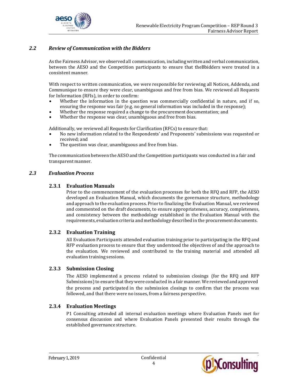

# <span id="page-3-0"></span>*2.2 Review of Communication with the Bidders*

As the Fairness Advisor, we observed all communication, includingwritten and verbal communication, between the AESO and the Competition participants to ensure that theBbidders were treated in a consistent manner.

With respect to written communication, we were responsible for reviewing all Notices, Addenda, and Communique to ensure they were clear, unambiguous and free from bias. We reviewed all Requests for Information (RFIs), in order to confirm:

- Whether the information in the question was commercially confidential in nature, and if so, ensuring the response was fair (e.g. no general information was included in the response);
- Whether the response required a change to the procurement documentation; and
- Whether the response was clear, unambiguous and free from bias.

Additionally, we reviewed all Requests for Clarification (RFCs) to ensure that:

- No new information related to the Respondents' and Proponents' submissions was requested or received; and
- The question was clear, unambiguous and free from bias.

The communication between the AESO and the Competition participants was conducted in a fair and transparent manner.

# <span id="page-3-1"></span>*2.3 Evaluation Process*

#### **2.3.1 Evaluation Manuals**

Prior to the commencement of the evaluation processes for both the RFQ and RFP, the AESO developed an Evaluation Manual, which documents the governance structure, methodology and approach to the evaluation process. Prior to finalizing the Evaluation Manual, we reviewed and commented on the draft documents, to ensure appropriateness, accuracy, completeness, and consistency between the methodology established in the Evaluation Manual with the requirements, evaluation criteria and methodologydescribed in the procurement documents.

# **2.3.2 Evaluation Training**

All Evaluation Participants attended evaluation training prior to participating in the RFQ and RFP evaluation process to ensure that they understood the objectives of and the approach to the evaluation. We reviewed and contributed to the training material and attended all evaluation training sessions.

#### **2.3.3 Submission Closing**

The AESO implemented a process related to submission closings (for the RFQ and RFP Submissions) to ensure that they were conducted in a fair manner. We reviewed and approved the process and participated in the submission closings to confirm that the process was followed, and that there were no issues, from a fairness perspective.

# **2.3.4 Evaluation Meetings**

P1 Consulting attended all internal evaluation meetings where Evaluation Panels met for consensus discussion and where Evaluation Panels presented their results through the established governance structure.

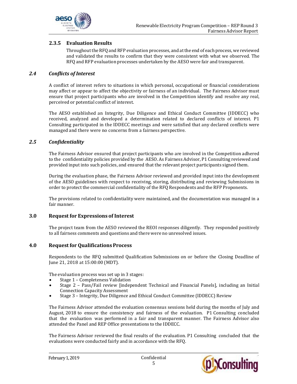

# **2.3.5 Evaluation Results**

Throughout the RFQ and RFP evaluation processes, and at the end of each process, we reviewed and validated the results to confirm that they were consistent with what we observed. The RFQ and RFP evaluation processes undertaken by the AESO were fair and transparent.

# <span id="page-4-0"></span>*2.4 Conflicts of Interest*

A conflict of interest refers to situations in which personal, occupational or financial considerations may affect or appear to affect the objectivity or fairness of an individual. The Fairness Advisor must ensure that project participants who are involved in the Competition identify and resolve any real, perceived or potential conflict of interest.

The AESO established an Integrity, Due Diligence and Ethical Conduct Committee (IDDECC) who received, analyzed and developed a determination related to declared conflicts of interest. P1 Consulting participated in the IDDECC meetings and were satisfied that any declared conflicts were managed and there were no concerns from a fairness perspective.

# <span id="page-4-1"></span>*2.5 Confidentiality*

The Fairness Advisor ensured that project participants who are involved in the Competition adhered to the confidentiality policies provided by the AESO. As Fairness Advisor, P1 Consulting reviewed and provided input into such policies, and ensured that the relevant project participants signed them.

During the evaluation phase, the Fairness Advisor reviewed and provided input into the development of the AESO guidelines with respect to receiving, storing, distributing and reviewing Submissions in order to protect the commercial confidentiality of the RFQ Respondents and the RFP Proponents.

The provisions related to confidentiality were maintained, and the documentation was managed in a fair manner.

# <span id="page-4-2"></span>**3.0 Request for Expressions of Interest**

The project team from the AESO reviewed the REOI responses diligently. They responded positively to all fairness comments and questions and there were no unresolved issues.

# <span id="page-4-3"></span>**4.0 Requestfor QualificationsProcess**

Respondents to the RFQ submitted Qualification Submissions on or before the Closing Deadline of June 21, 2018 at 15:00:00 (MDT).

The evaluation process was set up in 3 stages:

- Stage 1 Completeness Validation
- Stage 2 Pass/Fail review [independent Technical and Financial Panels], including an Initial Connection Capacity Assessment
- Stage 3 Integrity, Due Diligence and Ethical Conduct Committee (IDDECC) Review

The Fairness Advisor attended the evaluation consensus sessions held during the months of July and August, 2018 to ensure the consistency and fairness of the evaluation. P1 Consulting concluded that the evaluation was performed in a fair and transparent manner. The Fairness Advisor also attended the Panel and REP Office presentations to the IDDECC.

The Fairness Advisor reviewed the final results of the evaluation. P1 Consulting concluded that the evaluations were conducted fairly and in accordance with the RFQ.

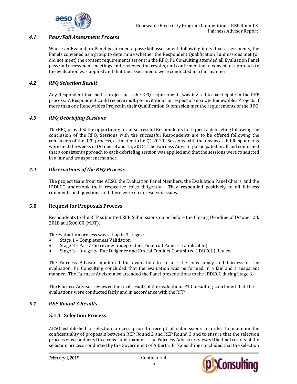

#### <span id="page-5-0"></span>*4.1 Pass/Fail Assessment Process*

Where an Evaluation Panel performed a pass/fail assessment, following individual assessments, the Panels convened as a group to determine whether the Respondent Qualification Submissions met (or did not meet) the content requirements set out in the RFQ. P1 Consulting attended all Evaluation Panel pass/fail assessment meetings and reviewed the results, and confirmed that a consistent approach to the evaluation was applied and that the assessments were conducted in a fair manner.

#### <span id="page-5-1"></span>*4.2 RFQ Selection Result*

Any Respondent that had a project pass the RFQ requirements was invited to participate in the RFP process. A Respondent could receive multiple invitations in respect of separate Renewables Projects if more than one Renewables Project in their Qualification Submission met the requirements of the RFQ.

#### <span id="page-5-2"></span>*4.3 RFQ Debriefing Sessions*

The RFQ provided the opportunity for unsuccessful Respondents to request a debriefing following the conclusion of the RFQ. Sessions with the successful Respondents are to be offered following the conclusion of the RFP process, estimated to be Q1 2019. Sessions with the unsuccessful Respondents were held the weeks of October 8 and 15, 2018. The Fairness Advisor participated in all and confirmed that a consistent approach to each debriefing session was applied and thatthe sessions were conducted in a fair and transparent manner.

#### <span id="page-5-3"></span>*4.4 Observations of the RFQ Process*

The project team from the AESO, the Evaluation Panel Members, the Evaluation Panel Chairs, and the IDDECC undertook their respective roles diligently. They responded positively to all fairness comments and questions and there were no unresolved issues.

#### <span id="page-5-4"></span>**5.0 Request for Proposals Process**

Respondents to the RFP submitted RFP Submissions on or before the Closing Deadline of October 23, 2018 at 15:00:00 (MDT).

The evaluation process was set up in 3 stages:

- Stage 1 Completeness Validation
- Stage 2 Pass/Fail review [independent Financial Panel if applicable]
- Stage 3 Integrity, Due Diligence and Ethical Conduct Committee (IDDECC) Review

The Fairness Advisor monitored the evaluation to ensure the consistency and fairness of the evaluation. P1 Consulting concluded that the evaluation was performed in a fair and transparent manner. The Fairness Advisor also attended the Panel presentations to the IDDECC during Stage 3.

The Fairness Advisor reviewed the final results of the evaluation. P1 Consulting concluded that the evaluations were conducted fairly and in accordance with the RFP.

#### <span id="page-5-5"></span>*5.1 REP Round 3 Results*

#### **5.1.1 Selection Process**

AESO established a selection process prior to receipt of submissions in order to maintain the confidentiality of proposals between REP Round 2 and REP Round 3 and to ensure that the selection process was conducted in a consistent manner. The Fairness Advisor reviewed the final results of the selection process conducted by the Government of Alberta. P1 Consulting concluded that the selection